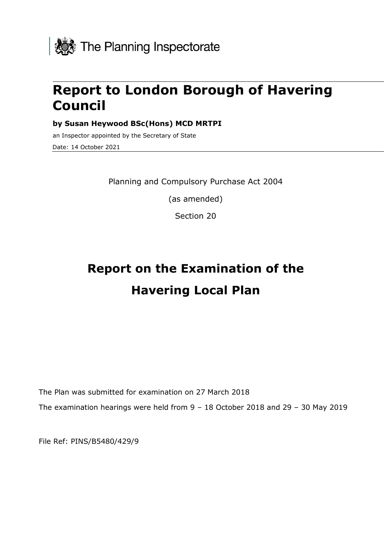

# **Report to London Borough of Havering Council**

**by Susan Heywood BSc(Hons) MCD MRTPI**

an Inspector appointed by the Secretary of State Date: 14 October 2021

Planning and Compulsory Purchase Act 2004

(as amended)

Section 20

# **Report on the Examination of the Havering Local Plan**

The Plan was submitted for examination on 27 March 2018 The examination hearings were held from 9 – 18 October 2018 and 29 – 30 May 2019

File Ref: PINS/B5480/429/9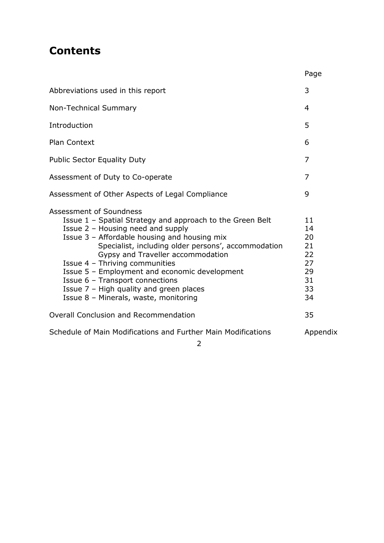# **Contents**

|                                                                                                                                                                                                                                                                                                                                                                                                                                                                                 | Page                                                     |
|---------------------------------------------------------------------------------------------------------------------------------------------------------------------------------------------------------------------------------------------------------------------------------------------------------------------------------------------------------------------------------------------------------------------------------------------------------------------------------|----------------------------------------------------------|
| Abbreviations used in this report                                                                                                                                                                                                                                                                                                                                                                                                                                               | 3                                                        |
| <b>Non-Technical Summary</b>                                                                                                                                                                                                                                                                                                                                                                                                                                                    | $\overline{4}$                                           |
| Introduction                                                                                                                                                                                                                                                                                                                                                                                                                                                                    | 5                                                        |
| Plan Context                                                                                                                                                                                                                                                                                                                                                                                                                                                                    | 6                                                        |
| <b>Public Sector Equality Duty</b>                                                                                                                                                                                                                                                                                                                                                                                                                                              | 7                                                        |
| Assessment of Duty to Co-operate                                                                                                                                                                                                                                                                                                                                                                                                                                                | 7                                                        |
| Assessment of Other Aspects of Legal Compliance                                                                                                                                                                                                                                                                                                                                                                                                                                 | 9                                                        |
| Assessment of Soundness<br>Issue 1 - Spatial Strategy and approach to the Green Belt<br>Issue 2 - Housing need and supply<br>Issue 3 - Affordable housing and housing mix<br>Specialist, including older persons', accommodation<br>Gypsy and Traveller accommodation<br>Issue 4 - Thriving communities<br>Issue 5 - Employment and economic development<br>Issue 6 - Transport connections<br>Issue 7 - High quality and green places<br>Issue 8 - Minerals, waste, monitoring | 11<br>14<br>20<br>21<br>22<br>27<br>29<br>31<br>33<br>34 |
| <b>Overall Conclusion and Recommendation</b>                                                                                                                                                                                                                                                                                                                                                                                                                                    | 35                                                       |
| Schedule of Main Modifications and Further Main Modifications                                                                                                                                                                                                                                                                                                                                                                                                                   | Appendix                                                 |

2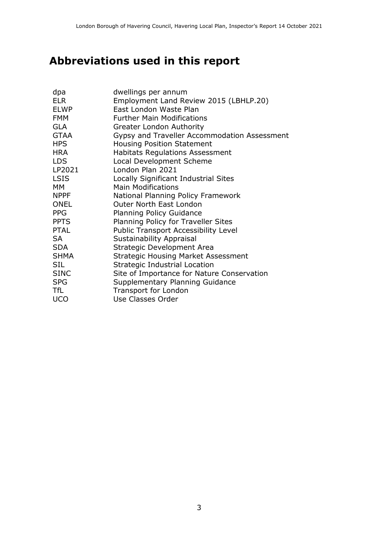# **Abbreviations used in this report**

| dpa         | dwellings per annum                          |
|-------------|----------------------------------------------|
| <b>ELR</b>  | Employment Land Review 2015 (LBHLP.20)       |
| <b>ELWP</b> | East London Waste Plan                       |
| <b>FMM</b>  | <b>Further Main Modifications</b>            |
| <b>GLA</b>  | <b>Greater London Authority</b>              |
| <b>GTAA</b> | Gypsy and Traveller Accommodation Assessment |
| <b>HPS</b>  | <b>Housing Position Statement</b>            |
| <b>HRA</b>  | <b>Habitats Regulations Assessment</b>       |
| <b>LDS</b>  | Local Development Scheme                     |
| LP2021      | London Plan 2021                             |
| <b>LSIS</b> | Locally Significant Industrial Sites         |
| <b>MM</b>   | <b>Main Modifications</b>                    |
| <b>NPPF</b> | National Planning Policy Framework           |
| <b>ONEL</b> | <b>Outer North East London</b>               |
| <b>PPG</b>  | <b>Planning Policy Guidance</b>              |
| <b>PPTS</b> | Planning Policy for Traveller Sites          |
| <b>PTAL</b> | <b>Public Transport Accessibility Level</b>  |
| <b>SA</b>   | <b>Sustainability Appraisal</b>              |
| <b>SDA</b>  | Strategic Development Area                   |
| <b>SHMA</b> | <b>Strategic Housing Market Assessment</b>   |
| <b>SIL</b>  | <b>Strategic Industrial Location</b>         |
| <b>SINC</b> | Site of Importance for Nature Conservation   |
| <b>SPG</b>  | Supplementary Planning Guidance              |
| TfL         | Transport for London                         |
| <b>UCO</b>  | Use Classes Order                            |
|             |                                              |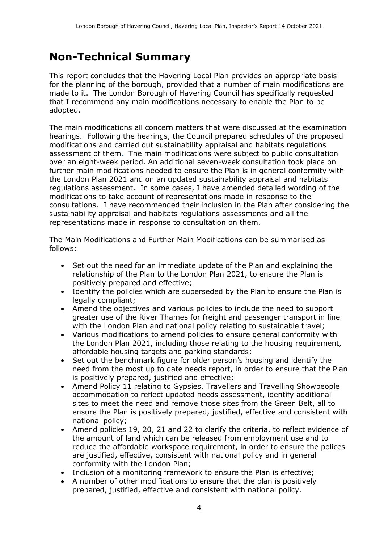# **Non-Technical Summary**

This report concludes that the Havering Local Plan provides an appropriate basis for the planning of the borough, provided that a number of main modifications are made to it. The London Borough of Havering Council has specifically requested that I recommend any main modifications necessary to enable the Plan to be adopted.

The main modifications all concern matters that were discussed at the examination hearings. Following the hearings, the Council prepared schedules of the proposed modifications and carried out sustainability appraisal and habitats regulations assessment of them. The main modifications were subject to public consultation over an eight-week period. An additional seven-week consultation took place on further main modifications needed to ensure the Plan is in general conformity with the London Plan 2021 and on an updated sustainability appraisal and habitats regulations assessment. In some cases, I have amended detailed wording of the modifications to take account of representations made in response to the consultations. I have recommended their inclusion in the Plan after considering the sustainability appraisal and habitats regulations assessments and all the representations made in response to consultation on them.

The Main Modifications and Further Main Modifications can be summarised as follows:

- Set out the need for an immediate update of the Plan and explaining the relationship of the Plan to the London Plan 2021, to ensure the Plan is positively prepared and effective;
- Identify the policies which are superseded by the Plan to ensure the Plan is legally compliant;
- Amend the objectives and various policies to include the need to support greater use of the River Thames for freight and passenger transport in line with the London Plan and national policy relating to sustainable travel;
- Various modifications to amend policies to ensure general conformity with the London Plan 2021, including those relating to the housing requirement, affordable housing targets and parking standards;
- Set out the benchmark figure for older person's housing and identify the need from the most up to date needs report, in order to ensure that the Plan is positively prepared, justified and effective;
- Amend Policy 11 relating to Gypsies, Travellers and Travelling Showpeople accommodation to reflect updated needs assessment, identify additional sites to meet the need and remove those sites from the Green Belt, all to ensure the Plan is positively prepared, justified, effective and consistent with national policy;
- Amend policies 19, 20, 21 and 22 to clarify the criteria, to reflect evidence of the amount of land which can be released from employment use and to reduce the affordable workspace requirement, in order to ensure the polices are justified, effective, consistent with national policy and in general conformity with the London Plan;
- Inclusion of a monitoring framework to ensure the Plan is effective;
- A number of other modifications to ensure that the plan is positively prepared, justified, effective and consistent with national policy.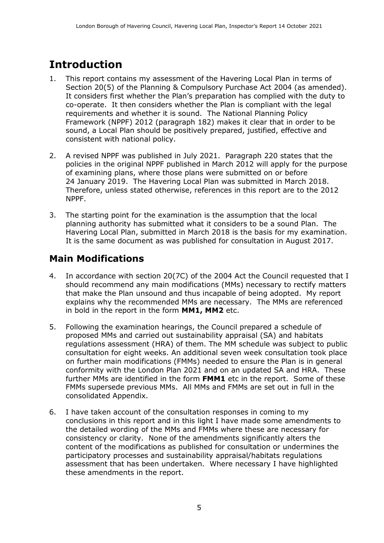# **Introduction**

- 1. This report contains my assessment of the Havering Local Plan in terms of Section 20(5) of the Planning & Compulsory Purchase Act 2004 (as amended). It considers first whether the Plan's preparation has complied with the duty to co-operate. It then considers whether the Plan is compliant with the legal requirements and whether it is sound. The National Planning Policy Framework (NPPF) 2012 (paragraph 182) makes it clear that in order to be sound, a Local Plan should be positively prepared, justified, effective and consistent with national policy.
- 2. A revised NPPF was published in July 2021. Paragraph 220 states that the policies in the original NPPF published in March 2012 will apply for the purpose of examining plans, where those plans were submitted on or before 24 January 2019. The Havering Local Plan was submitted in March 2018. Therefore, unless stated otherwise, references in this report are to the 2012 NPPF.
- 3. The starting point for the examination is the assumption that the local planning authority has submitted what it considers to be a sound Plan. The Havering Local Plan, submitted in March 2018 is the basis for my examination. It is the same document as was published for consultation in August 2017.

# **Main Modifications**

- 4. In accordance with section 20(7C) of the 2004 Act the Council requested that I should recommend any main modifications (MMs) necessary to rectify matters that make the Plan unsound and thus incapable of being adopted. My report explains why the recommended MMs are necessary. The MMs are referenced in bold in the report in the form **MM1, MM2** etc.
- 5. Following the examination hearings, the Council prepared a schedule of proposed MMs and carried out sustainability appraisal (SA) and habitats regulations assessment (HRA) of them. The MM schedule was subject to public consultation for eight weeks. An additional seven week consultation took place on further main modifications (FMMs) needed to ensure the Plan is in general conformity with the London Plan 2021 and on an updated SA and HRA. These further MMs are identified in the form **FMM1** etc in the report. Some of these FMMs supersede previous MMs. All MMs and FMMs are set out in full in the consolidated Appendix.
- 6. I have taken account of the consultation responses in coming to my conclusions in this report and in this light I have made some amendments to the detailed wording of the MMs and FMMs where these are necessary for consistency or clarity. None of the amendments significantly alters the content of the modifications as published for consultation or undermines the participatory processes and sustainability appraisal/habitats regulations assessment that has been undertaken. Where necessary I have highlighted these amendments in the report.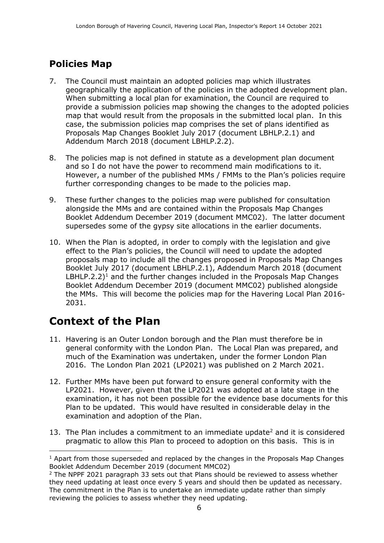# **Policies Map**

- 7. The Council must maintain an adopted policies map which illustrates geographically the application of the policies in the adopted development plan. When submitting a local plan for examination, the Council are required to provide a submission policies map showing the changes to the adopted policies map that would result from the proposals in the submitted local plan. In this case, the submission policies map comprises the set of plans identified as Proposals Map Changes Booklet July 2017 (document LBHLP.2.1) and Addendum March 2018 (document LBHLP.2.2).
- 8. The policies map is not defined in statute as a development plan document and so I do not have the power to recommend main modifications to it. However, a number of the published MMs / FMMs to the Plan's policies require further corresponding changes to be made to the policies map.
- 9. These further changes to the policies map were published for consultation alongside the MMs and are contained within the Proposals Map Changes Booklet Addendum December 2019 (document MMC02). The latter document supersedes some of the gypsy site allocations in the earlier documents.
- 10. When the Plan is adopted, in order to comply with the legislation and give effect to the Plan's policies, the Council will need to update the adopted proposals map to include all the changes proposed in Proposals Map Changes Booklet July 2017 (document LBHLP.2.1), Addendum March 2018 (document LBHLP.2.2)<sup>1</sup> and the further changes included in the Proposals Map Changes Booklet Addendum December 2019 (document MMC02) published alongside the MMs. This will become the policies map for the Havering Local Plan 2016- 2031.

# **Context of the Plan**

 $\overline{a}$ 

- 11. Havering is an Outer London borough and the Plan must therefore be in general conformity with the London Plan. The Local Plan was prepared, and much of the Examination was undertaken, under the former London Plan 2016. The London Plan 2021 (LP2021) was published on 2 March 2021.
- 12. Further MMs have been put forward to ensure general conformity with the LP2021. However, given that the LP2021 was adopted at a late stage in the examination, it has not been possible for the evidence base documents for this Plan to be updated. This would have resulted in considerable delay in the examination and adoption of the Plan.
- 13. The Plan includes a commitment to an immediate update<sup>2</sup> and it is considered pragmatic to allow this Plan to proceed to adoption on this basis. This is in

 $<sup>1</sup>$  Apart from those superseded and replaced by the changes in the Proposals Map Changes</sup> Booklet Addendum December 2019 (document MMC02)

 $2$  The NPPF 2021 paragraph 33 sets out that Plans should be reviewed to assess whether they need updating at least once every 5 years and should then be updated as necessary. The commitment in the Plan is to undertake an immediate update rather than simply reviewing the policies to assess whether they need updating.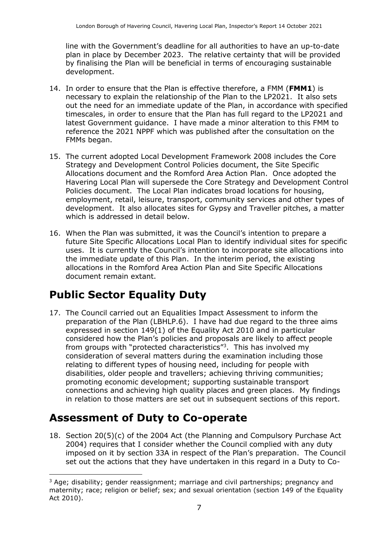line with the Government's deadline for all authorities to have an up-to-date plan in place by December 2023. The relative certainty that will be provided by finalising the Plan will be beneficial in terms of encouraging sustainable development.

- 14. In order to ensure that the Plan is effective therefore, a FMM (**FMM1**) is necessary to explain the relationship of the Plan to the LP2021. It also sets out the need for an immediate update of the Plan, in accordance with specified timescales, in order to ensure that the Plan has full regard to the LP2021 and latest Government guidance. I have made a minor alteration to this FMM to reference the 2021 NPPF which was published after the consultation on the FMMs began.
- 15. The current adopted Local Development Framework 2008 includes the Core Strategy and Development Control Policies document, the Site Specific Allocations document and the Romford Area Action Plan. Once adopted the Havering Local Plan will supersede the Core Strategy and Development Control Policies document. The Local Plan indicates broad locations for housing, employment, retail, leisure, transport, community services and other types of development. It also allocates sites for Gypsy and Traveller pitches, a matter which is addressed in detail below.
- 16. When the Plan was submitted, it was the Council's intention to prepare a future Site Specific Allocations Local Plan to identify individual sites for specific uses. It is currently the Council's intention to incorporate site allocations into the immediate update of this Plan. In the interim period, the existing allocations in the Romford Area Action Plan and Site Specific Allocations document remain extant.

# **Public Sector Equality Duty**

17. The Council carried out an Equalities Impact Assessment to inform the preparation of the Plan (LBHLP.6). I have had due regard to the three aims expressed in section 149(1) of the Equality Act 2010 and in particular considered how the Plan's policies and proposals are likely to affect people from groups with "protected characteristics"<sup>3</sup>. This has involved my consideration of several matters during the examination including those relating to different types of housing need, including for people with disabilities, older people and travellers; achieving thriving communities; promoting economic development; supporting sustainable transport connections and achieving high quality places and green places. My findings in relation to those matters are set out in subsequent sections of this report.

# **Assessment of Duty to Co-operate**

18. Section 20(5)(c) of the 2004 Act (the Planning and Compulsory Purchase Act 2004) requires that I consider whether the Council complied with any duty imposed on it by section 33A in respect of the Plan's preparation. The Council set out the actions that they have undertaken in this regard in a Duty to Co-

 $\overline{a}$ <sup>3</sup> Age; disability; gender reassignment; marriage and civil partnerships; pregnancy and maternity; race; religion or belief; sex; and sexual orientation (section 149 of the Equality Act 2010).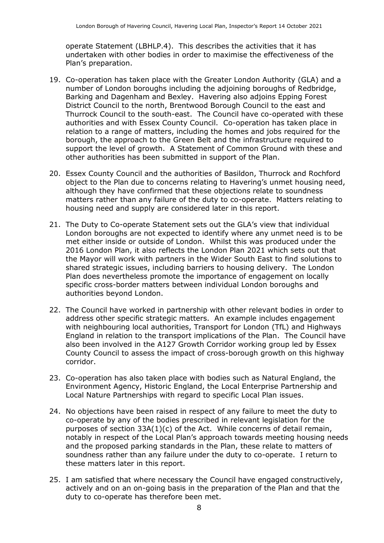operate Statement (LBHLP.4). This describes the activities that it has undertaken with other bodies in order to maximise the effectiveness of the Plan's preparation.

- 19. Co-operation has taken place with the Greater London Authority (GLA) and a number of London boroughs including the adjoining boroughs of Redbridge, Barking and Dagenham and Bexley. Havering also adjoins Epping Forest District Council to the north, Brentwood Borough Council to the east and Thurrock Council to the south-east. The Council have co-operated with these authorities and with Essex County Council. Co-operation has taken place in relation to a range of matters, including the homes and jobs required for the borough, the approach to the Green Belt and the infrastructure required to support the level of growth. A Statement of Common Ground with these and other authorities has been submitted in support of the Plan.
- 20. Essex County Council and the authorities of Basildon, Thurrock and Rochford object to the Plan due to concerns relating to Havering's unmet housing need, although they have confirmed that these objections relate to soundness matters rather than any failure of the duty to co-operate. Matters relating to housing need and supply are considered later in this report.
- 21. The Duty to Co-operate Statement sets out the GLA's view that individual London boroughs are not expected to identify where any unmet need is to be met either inside or outside of London. Whilst this was produced under the 2016 London Plan, it also reflects the London Plan 2021 which sets out that the Mayor will work with partners in the Wider South East to find solutions to shared strategic issues, including barriers to housing delivery. The London Plan does nevertheless promote the importance of engagement on locally specific cross-border matters between individual London boroughs and authorities beyond London.
- 22. The Council have worked in partnership with other relevant bodies in order to address other specific strategic matters. An example includes engagement with neighbouring local authorities, Transport for London (TfL) and Highways England in relation to the transport implications of the Plan. The Council have also been involved in the A127 Growth Corridor working group led by Essex County Council to assess the impact of cross-borough growth on this highway corridor.
- 23. Co-operation has also taken place with bodies such as Natural England, the Environment Agency, Historic England, the Local Enterprise Partnership and Local Nature Partnerships with regard to specific Local Plan issues.
- 24. No objections have been raised in respect of any failure to meet the duty to co-operate by any of the bodies prescribed in relevant legislation for the purposes of section  $33A(1)(c)$  of the Act. While concerns of detail remain, notably in respect of the Local Plan's approach towards meeting housing needs and the proposed parking standards in the Plan, these relate to matters of soundness rather than any failure under the duty to co-operate. I return to these matters later in this report.
- 25. I am satisfied that where necessary the Council have engaged constructively, actively and on an on-going basis in the preparation of the Plan and that the duty to co-operate has therefore been met.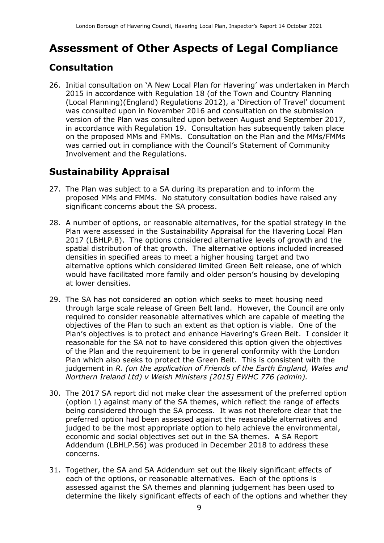# **Assessment of Other Aspects of Legal Compliance**

# **Consultation**

26. Initial consultation on 'A New Local Plan for Havering' was undertaken in March 2015 in accordance with Regulation 18 (of the Town and Country Planning (Local Planning)(England) Regulations 2012), a 'Direction of Travel' document was consulted upon in November 2016 and consultation on the submission version of the Plan was consulted upon between August and September 2017, in accordance with Regulation 19. Consultation has subsequently taken place on the proposed MMs and FMMs. Consultation on the Plan and the MMs/FMMs was carried out in compliance with the Council's Statement of Community Involvement and the Regulations.

# **Sustainability Appraisal**

- 27. The Plan was subject to a SA during its preparation and to inform the proposed MMs and FMMs. No statutory consultation bodies have raised any significant concerns about the SA process.
- 28. A number of options, or reasonable alternatives, for the spatial strategy in the Plan were assessed in the Sustainability Appraisal for the Havering Local Plan 2017 (LBHLP.8). The options considered alternative levels of growth and the spatial distribution of that growth. The alternative options included increased densities in specified areas to meet a higher housing target and two alternative options which considered limited Green Belt release, one of which would have facilitated more family and older person's housing by developing at lower densities.
- 29. The SA has not considered an option which seeks to meet housing need through large scale release of Green Belt land. However, the Council are only required to consider reasonable alternatives which are capable of meeting the objectives of the Plan to such an extent as that option is viable. One of the Plan's objectives is to protect and enhance Havering's Green Belt. I consider it reasonable for the SA not to have considered this option given the objectives of the Plan and the requirement to be in general conformity with the London Plan which also seeks to protect the Green Belt. This is consistent with the judgement in *R. (on the application of Friends of the Earth England, Wales and Northern Ireland Ltd) v Welsh Ministers [2015] EWHC 776 (admin).*
- 30. The 2017 SA report did not make clear the assessment of the preferred option (option 1) against many of the SA themes, which reflect the range of effects being considered through the SA process. It was not therefore clear that the preferred option had been assessed against the reasonable alternatives and judged to be the most appropriate option to help achieve the environmental, economic and social objectives set out in the SA themes. A SA Report Addendum (LBHLP.56) was produced in December 2018 to address these concerns.
- 31. Together, the SA and SA Addendum set out the likely significant effects of each of the options, or reasonable alternatives. Each of the options is assessed against the SA themes and planning judgement has been used to determine the likely significant effects of each of the options and whether they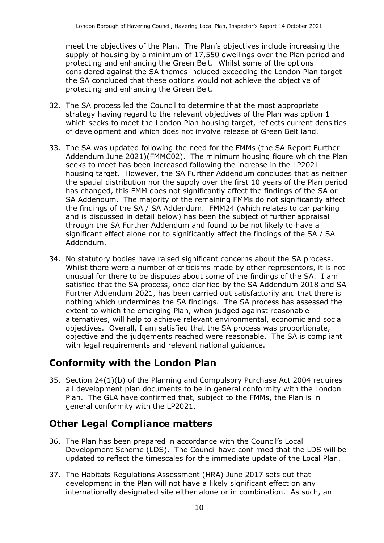meet the objectives of the Plan. The Plan's objectives include increasing the supply of housing by a minimum of 17,550 dwellings over the Plan period and protecting and enhancing the Green Belt. Whilst some of the options considered against the SA themes included exceeding the London Plan target the SA concluded that these options would not achieve the objective of protecting and enhancing the Green Belt.

- 32. The SA process led the Council to determine that the most appropriate strategy having regard to the relevant objectives of the Plan was option 1 which seeks to meet the London Plan housing target, reflects current densities of development and which does not involve release of Green Belt land.
- 33. The SA was updated following the need for the FMMs (the SA Report Further Addendum June 2021)(FMMC02). The minimum housing figure which the Plan seeks to meet has been increased following the increase in the LP2021 housing target. However, the SA Further Addendum concludes that as neither the spatial distribution nor the supply over the first 10 years of the Plan period has changed, this FMM does not significantly affect the findings of the SA or SA Addendum. The majority of the remaining FMMs do not significantly affect the findings of the SA / SA Addendum. FMM24 (which relates to car parking and is discussed in detail below) has been the subject of further appraisal through the SA Further Addendum and found to be not likely to have a significant effect alone nor to significantly affect the findings of the SA / SA Addendum.
- 34. No statutory bodies have raised significant concerns about the SA process. Whilst there were a number of criticisms made by other representors, it is not unusual for there to be disputes about some of the findings of the SA. I am satisfied that the SA process, once clarified by the SA Addendum 2018 and SA Further Addendum 2021, has been carried out satisfactorily and that there is nothing which undermines the SA findings. The SA process has assessed the extent to which the emerging Plan, when judged against reasonable alternatives, will help to achieve relevant environmental, economic and social objectives. Overall, I am satisfied that the SA process was proportionate, objective and the judgements reached were reasonable. The SA is compliant with legal requirements and relevant national guidance.

# **Conformity with the London Plan**

35. Section 24(1)(b) of the Planning and Compulsory Purchase Act 2004 requires all development plan documents to be in general conformity with the London Plan. The GLA have confirmed that, subject to the FMMs, the Plan is in general conformity with the LP2021.

# **Other Legal Compliance matters**

- 36. The Plan has been prepared in accordance with the Council's Local Development Scheme (LDS). The Council have confirmed that the LDS will be updated to reflect the timescales for the immediate update of the Local Plan.
- 37. The Habitats Regulations Assessment (HRA) June 2017 sets out that development in the Plan will not have a likely significant effect on any internationally designated site either alone or in combination. As such, an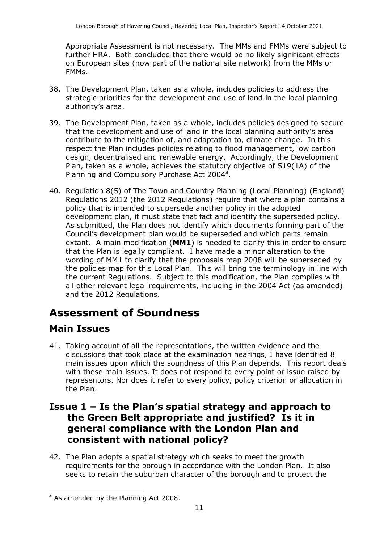Appropriate Assessment is not necessary. The MMs and FMMs were subject to further HRA. Both concluded that there would be no likely significant effects on European sites (now part of the national site network) from the MMs or FMMs.

- 38. The Development Plan, taken as a whole, includes policies to address the strategic priorities for the development and use of land in the local planning authority's area.
- 39. The Development Plan, taken as a whole, includes policies designed to secure that the development and use of land in the local planning authority's area contribute to the mitigation of, and adaptation to, climate change. In this respect the Plan includes policies relating to flood management, low carbon design, decentralised and renewable energy. Accordingly, the Development Plan, taken as a whole, achieves the statutory objective of S19(1A) of the Planning and Compulsory Purchase Act 2004<sup>4</sup>.
- 40. Regulation 8(5) of The Town and Country Planning (Local Planning) (England) Regulations 2012 (the 2012 Regulations) require that where a plan contains a policy that is intended to supersede another policy in the adopted development plan, it must state that fact and identify the superseded policy. As submitted, the Plan does not identify which documents forming part of the Council's development plan would be superseded and which parts remain extant. A main modification (**MM1**) is needed to clarify this in order to ensure that the Plan is legally compliant. I have made a minor alteration to the wording of MM1 to clarify that the proposals map 2008 will be superseded by the policies map for this Local Plan. This will bring the terminology in line with the current Regulations. Subject to this modification, the Plan complies with all other relevant legal requirements, including in the 2004 Act (as amended) and the 2012 Regulations.

# **Assessment of Soundness**

## **Main Issues**

 $\overline{a}$ 

41. Taking account of all the representations, the written evidence and the discussions that took place at the examination hearings, I have identified 8 main issues upon which the soundness of this Plan depends. This report deals with these main issues. It does not respond to every point or issue raised by representors. Nor does it refer to every policy, policy criterion or allocation in the Plan.

### **Issue 1 – Is the Plan's spatial strategy and approach to the Green Belt appropriate and justified? Is it in general compliance with the London Plan and consistent with national policy?**

42. The Plan adopts a spatial strategy which seeks to meet the growth requirements for the borough in accordance with the London Plan. It also seeks to retain the suburban character of the borough and to protect the

<sup>4</sup> As amended by the Planning Act 2008.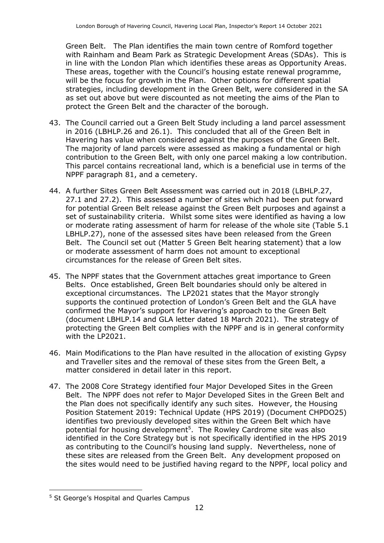Green Belt. The Plan identifies the main town centre of Romford together with Rainham and Beam Park as Strategic Development Areas (SDAs). This is in line with the London Plan which identifies these areas as Opportunity Areas. These areas, together with the Council's housing estate renewal programme, will be the focus for growth in the Plan. Other options for different spatial strategies, including development in the Green Belt, were considered in the SA as set out above but were discounted as not meeting the aims of the Plan to protect the Green Belt and the character of the borough.

- 43. The Council carried out a Green Belt Study including a land parcel assessment in 2016 (LBHLP.26 and 26.1). This concluded that all of the Green Belt in Havering has value when considered against the purposes of the Green Belt. The majority of land parcels were assessed as making a fundamental or high contribution to the Green Belt, with only one parcel making a low contribution. This parcel contains recreational land, which is a beneficial use in terms of the NPPF paragraph 81, and a cemetery.
- 44. A further Sites Green Belt Assessment was carried out in 2018 (LBHLP.27, 27.1 and 27.2). This assessed a number of sites which had been put forward for potential Green Belt release against the Green Belt purposes and against a set of sustainability criteria. Whilst some sites were identified as having a low or moderate rating assessment of harm for release of the whole site (Table 5.1 LBHLP.27), none of the assessed sites have been released from the Green Belt. The Council set out (Matter 5 Green Belt hearing statement) that a low or moderate assessment of harm does not amount to exceptional circumstances for the release of Green Belt sites.
- 45. The NPPF states that the Government attaches great importance to Green Belts. Once established, Green Belt boundaries should only be altered in exceptional circumstances. The LP2021 states that the Mayor strongly supports the continued protection of London's Green Belt and the GLA have confirmed the Mayor's support for Havering's approach to the Green Belt (document LBHLP.14 and GLA letter dated 18 March 2021). The strategy of protecting the Green Belt complies with the NPPF and is in general conformity with the LP2021.
- 46. Main Modifications to the Plan have resulted in the allocation of existing Gypsy and Traveller sites and the removal of these sites from the Green Belt, a matter considered in detail later in this report.
- 47. The 2008 Core Strategy identified four Major Developed Sites in the Green Belt. The NPPF does not refer to Major Developed Sites in the Green Belt and the Plan does not specifically identify any such sites. However, the Housing Position Statement 2019: Technical Update (HPS 2019) (Document CHPDO25) identifies two previously developed sites within the Green Belt which have potential for housing development<sup>5</sup>. The Rowley Cardrome site was also identified in the Core Strategy but is not specifically identified in the HPS 2019 as contributing to the Council's housing land supply. Nevertheless, none of these sites are released from the Green Belt. Any development proposed on the sites would need to be justified having regard to the NPPF, local policy and

 $\overline{a}$ <sup>5</sup> St George's Hospital and Quarles Campus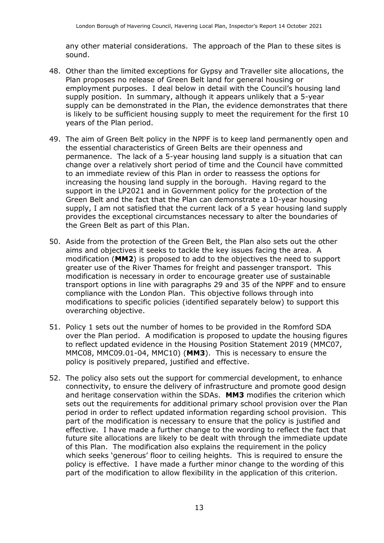any other material considerations. The approach of the Plan to these sites is sound.

- 48. Other than the limited exceptions for Gypsy and Traveller site allocations, the Plan proposes no release of Green Belt land for general housing or employment purposes. I deal below in detail with the Council's housing land supply position. In summary, although it appears unlikely that a 5-year supply can be demonstrated in the Plan, the evidence demonstrates that there is likely to be sufficient housing supply to meet the requirement for the first 10 years of the Plan period.
- 49. The aim of Green Belt policy in the NPPF is to keep land permanently open and the essential characteristics of Green Belts are their openness and permanence. The lack of a 5-year housing land supply is a situation that can change over a relatively short period of time and the Council have committed to an immediate review of this Plan in order to reassess the options for increasing the housing land supply in the borough. Having regard to the support in the LP2021 and in Government policy for the protection of the Green Belt and the fact that the Plan can demonstrate a 10-year housing supply, I am not satisfied that the current lack of a 5 year housing land supply provides the exceptional circumstances necessary to alter the boundaries of the Green Belt as part of this Plan.
- 50. Aside from the protection of the Green Belt, the Plan also sets out the other aims and objectives it seeks to tackle the key issues facing the area. A modification (**MM2**) is proposed to add to the objectives the need to support greater use of the River Thames for freight and passenger transport. This modification is necessary in order to encourage greater use of sustainable transport options in line with paragraphs 29 and 35 of the NPPF and to ensure compliance with the London Plan. This objective follows through into modifications to specific policies (identified separately below) to support this overarching objective.
- 51. Policy 1 sets out the number of homes to be provided in the Romford SDA over the Plan period. A modification is proposed to update the housing figures to reflect updated evidence in the Housing Position Statement 2019 (MMC07, MMC08, MMC09.01-04, MMC10) (**MM3**). This is necessary to ensure the policy is positively prepared, justified and effective.
- 52. The policy also sets out the support for commercial development, to enhance connectivity, to ensure the delivery of infrastructure and promote good design and heritage conservation within the SDAs. **MM3** modifies the criterion which sets out the requirements for additional primary school provision over the Plan period in order to reflect updated information regarding school provision. This part of the modification is necessary to ensure that the policy is justified and effective. I have made a further change to the wording to reflect the fact that future site allocations are likely to be dealt with through the immediate update of this Plan. The modification also explains the requirement in the policy which seeks 'generous' floor to ceiling heights. This is required to ensure the policy is effective. I have made a further minor change to the wording of this part of the modification to allow flexibility in the application of this criterion.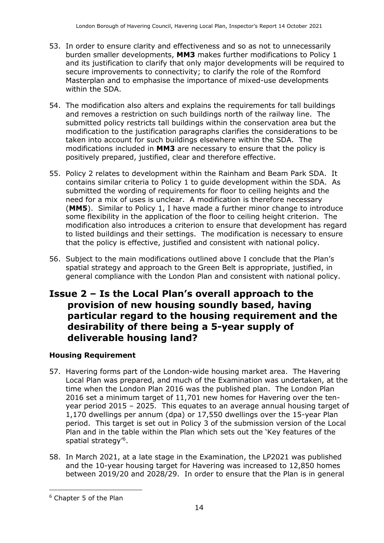- 53. In order to ensure clarity and effectiveness and so as not to unnecessarily burden smaller developments, **MM3** makes further modifications to Policy 1 and its justification to clarify that only major developments will be required to secure improvements to connectivity; to clarify the role of the Romford Masterplan and to emphasise the importance of mixed-use developments within the SDA.
- 54. The modification also alters and explains the requirements for tall buildings and removes a restriction on such buildings north of the railway line. The submitted policy restricts tall buildings within the conservation area but the modification to the justification paragraphs clarifies the considerations to be taken into account for such buildings elsewhere within the SDA. The modifications included in **MM3** are necessary to ensure that the policy is positively prepared, justified, clear and therefore effective.
- 55. Policy 2 relates to development within the Rainham and Beam Park SDA. It contains similar criteria to Policy 1 to guide development within the SDA. As submitted the wording of requirements for floor to ceiling heights and the need for a mix of uses is unclear. A modification is therefore necessary (**MM5**). Similar to Policy 1, I have made a further minor change to introduce some flexibility in the application of the floor to ceiling height criterion. The modification also introduces a criterion to ensure that development has regard to listed buildings and their settings. The modification is necessary to ensure that the policy is effective, justified and consistent with national policy.
- 56. Subject to the main modifications outlined above I conclude that the Plan's spatial strategy and approach to the Green Belt is appropriate, justified, in general compliance with the London Plan and consistent with national policy.

## **Issue 2 – Is the Local Plan's overall approach to the provision of new housing soundly based, having particular regard to the housing requirement and the desirability of there being a 5-year supply of deliverable housing land?**

### **Housing Requirement**

- 57. Havering forms part of the London-wide housing market area. The Havering Local Plan was prepared, and much of the Examination was undertaken, at the time when the London Plan 2016 was the published plan. The London Plan 2016 set a minimum target of 11,701 new homes for Havering over the tenyear period 2015 – 2025. This equates to an average annual housing target of 1,170 dwellings per annum (dpa) or 17,550 dwellings over the 15-year Plan period. This target is set out in Policy 3 of the submission version of the Local Plan and in the table within the Plan which sets out the 'Key features of the spatial strategy'<sup>6</sup>.
- 58. In March 2021, at a late stage in the Examination, the LP2021 was published and the 10-year housing target for Havering was increased to 12,850 homes between 2019/20 and 2028/29. In order to ensure that the Plan is in general

 $\overline{a}$ 

<sup>6</sup> Chapter 5 of the Plan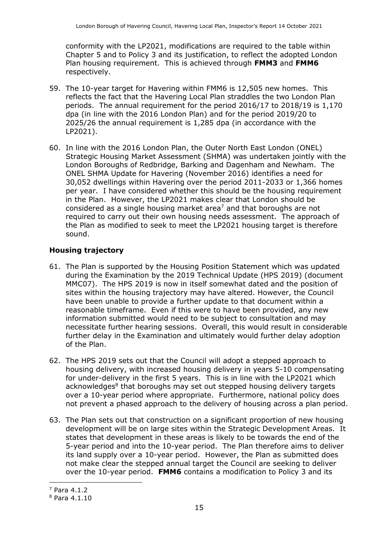conformity with the LP2021, modifications are required to the table within Chapter 5 and to Policy 3 and its justification, to reflect the adopted London Plan housing requirement. This is achieved through **FMM3** and **FMM6**  respectively.

- 59. The 10-year target for Havering within FMM6 is 12,505 new homes. This reflects the fact that the Havering Local Plan straddles the two London Plan periods. The annual requirement for the period 2016/17 to 2018/19 is 1,170 dpa (in line with the 2016 London Plan) and for the period 2019/20 to 2025/26 the annual requirement is 1,285 dpa (in accordance with the LP2021).
- 60. In line with the 2016 London Plan, the Outer North East London (ONEL) Strategic Housing Market Assessment (SHMA) was undertaken jointly with the London Boroughs of Redbridge, Barking and Dagenham and Newham. The ONEL SHMA Update for Havering (November 2016) identifies a need for 30,052 dwellings within Havering over the period 2011-2033 or 1,366 homes per year. I have considered whether this should be the housing requirement in the Plan. However, the LP2021 makes clear that London should be considered as a single housing market area<sup>7</sup> and that boroughs are not required to carry out their own housing needs assessment. The approach of the Plan as modified to seek to meet the LP2021 housing target is therefore sound.

#### **Housing trajectory**

- 61. The Plan is supported by the Housing Position Statement which was updated during the Examination by the 2019 Technical Update (HPS 2019) (document MMC07). The HPS 2019 is now in itself somewhat dated and the position of sites within the housing trajectory may have altered. However, the Council have been unable to provide a further update to that document within a reasonable timeframe. Even if this were to have been provided, any new information submitted would need to be subject to consultation and may necessitate further hearing sessions. Overall, this would result in considerable further delay in the Examination and ultimately would further delay adoption of the Plan.
- 62. The HPS 2019 sets out that the Council will adopt a stepped approach to housing delivery, with increased housing delivery in years 5-10 compensating for under-delivery in the first 5 years. This is in line with the LP2021 which acknowledges<sup>8</sup> that boroughs may set out stepped housing delivery targets over a 10-year period where appropriate. Furthermore, national policy does not prevent a phased approach to the delivery of housing across a plan period.
- 63. The Plan sets out that construction on a significant proportion of new housing development will be on large sites within the Strategic Development Areas. It states that development in these areas is likely to be towards the end of the 5-year period and into the 10-year period. The Plan therefore aims to deliver its land supply over a 10-year period. However, the Plan as submitted does not make clear the stepped annual target the Council are seeking to deliver over the 10-year period. **FMM6** contains a modification to Policy 3 and its

j

<sup>7</sup> Para 4.1.2

<sup>8</sup> Para 4.1.10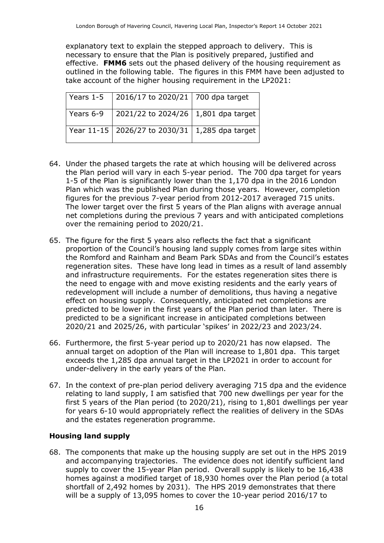explanatory text to explain the stepped approach to delivery. This is necessary to ensure that the Plan is positively prepared, justified and effective. **FMM6** sets out the phased delivery of the housing requirement as outlined in the following table. The figures in this FMM have been adjusted to take account of the higher housing requirement in the LP2021:

| Years 1-5 | $\vert$ 2016/17 to 2020/21 $\vert$ 700 dpa target  |  |
|-----------|----------------------------------------------------|--|
| Years 6-9 | 2021/22 to 2024/26   1,801 dpa target              |  |
|           | Year 11-15   2026/27 to 2030/31   1,285 dpa target |  |

- 64. Under the phased targets the rate at which housing will be delivered across the Plan period will vary in each 5-year period. The 700 dpa target for years 1-5 of the Plan is significantly lower than the 1,170 dpa in the 2016 London Plan which was the published Plan during those years. However, completion figures for the previous 7-year period from 2012-2017 averaged 715 units. The lower target over the first 5 years of the Plan aligns with average annual net completions during the previous 7 years and with anticipated completions over the remaining period to 2020/21.
- 65. The figure for the first 5 years also reflects the fact that a significant proportion of the Council's housing land supply comes from large sites within the Romford and Rainham and Beam Park SDAs and from the Council's estates regeneration sites. These have long lead in times as a result of land assembly and infrastructure requirements. For the estates regeneration sites there is the need to engage with and move existing residents and the early years of redevelopment will include a number of demolitions, thus having a negative effect on housing supply. Consequently, anticipated net completions are predicted to be lower in the first years of the Plan period than later. There is predicted to be a significant increase in anticipated completions between 2020/21 and 2025/26, with particular 'spikes' in 2022/23 and 2023/24.
- 66. Furthermore, the first 5-year period up to 2020/21 has now elapsed. The annual target on adoption of the Plan will increase to 1,801 dpa. This target exceeds the 1,285 dpa annual target in the LP2021 in order to account for under-delivery in the early years of the Plan.
- 67. In the context of pre-plan period delivery averaging 715 dpa and the evidence relating to land supply, I am satisfied that 700 new dwellings per year for the first 5 years of the Plan period (to 2020/21), rising to 1,801 dwellings per year for years 6-10 would appropriately reflect the realities of delivery in the SDAs and the estates regeneration programme.

#### **Housing land supply**

68. The components that make up the housing supply are set out in the HPS 2019 and accompanying trajectories. The evidence does not identify sufficient land supply to cover the 15-year Plan period. Overall supply is likely to be 16,438 homes against a modified target of 18,930 homes over the Plan period (a total shortfall of 2,492 homes by 2031). The HPS 2019 demonstrates that there will be a supply of 13,095 homes to cover the 10-year period 2016/17 to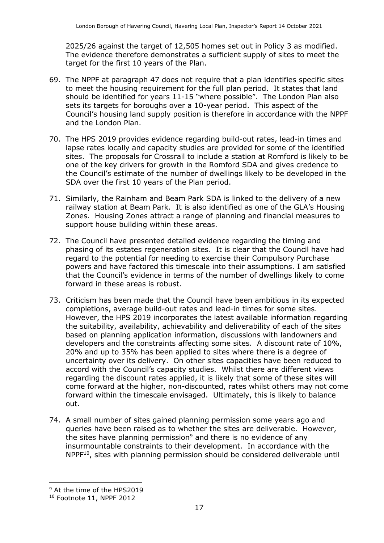2025/26 against the target of 12,505 homes set out in Policy 3 as modified. The evidence therefore demonstrates a sufficient supply of sites to meet the target for the first 10 years of the Plan.

- 69. The NPPF at paragraph 47 does not require that a plan identifies specific sites to meet the housing requirement for the full plan period. It states that land should be identified for years 11-15 "where possible". The London Plan also sets its targets for boroughs over a 10-year period. This aspect of the Council's housing land supply position is therefore in accordance with the NPPF and the London Plan.
- 70. The HPS 2019 provides evidence regarding build-out rates, lead-in times and lapse rates locally and capacity studies are provided for some of the identified sites. The proposals for Crossrail to include a station at Romford is likely to be one of the key drivers for growth in the Romford SDA and gives credence to the Council's estimate of the number of dwellings likely to be developed in the SDA over the first 10 years of the Plan period.
- 71. Similarly, the Rainham and Beam Park SDA is linked to the delivery of a new railway station at Beam Park. It is also identified as one of the GLA's Housing Zones. Housing Zones attract a range of planning and financial measures to support house building within these areas.
- 72. The Council have presented detailed evidence regarding the timing and phasing of its estates regeneration sites. It is clear that the Council have had regard to the potential for needing to exercise their Compulsory Purchase powers and have factored this timescale into their assumptions. I am satisfied that the Council's evidence in terms of the number of dwellings likely to come forward in these areas is robust.
- 73. Criticism has been made that the Council have been ambitious in its expected completions, average build-out rates and lead-in times for some sites. However, the HPS 2019 incorporates the latest available information regarding the suitability, availability, achievability and deliverability of each of the sites based on planning application information, discussions with landowners and developers and the constraints affecting some sites. A discount rate of 10%, 20% and up to 35% has been applied to sites where there is a degree of uncertainty over its delivery. On other sites capacities have been reduced to accord with the Council's capacity studies. Whilst there are different views regarding the discount rates applied, it is likely that some of these sites will come forward at the higher, non-discounted, rates whilst others may not come forward within the timescale envisaged. Ultimately, this is likely to balance out.
- 74. A small number of sites gained planning permission some years ago and queries have been raised as to whether the sites are deliverable. However, the sites have planning permission<sup>9</sup> and there is no evidence of any insurmountable constraints to their development. In accordance with the NPPF<sup>10</sup>, sites with planning permission should be considered deliverable until

j

<sup>&</sup>lt;sup>9</sup> At the time of the HPS2019

<sup>&</sup>lt;sup>10</sup> Footnote 11, NPPF 2012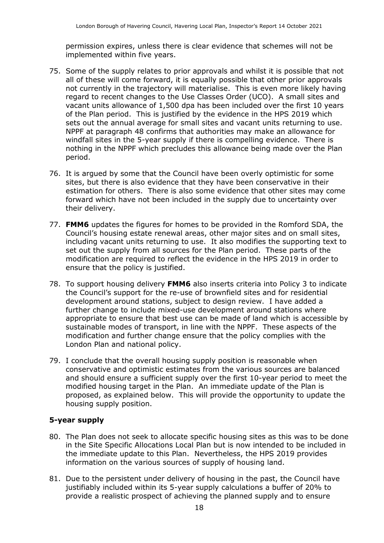permission expires, unless there is clear evidence that schemes will not be implemented within five years.

- 75. Some of the supply relates to prior approvals and whilst it is possible that not all of these will come forward, it is equally possible that other prior approvals not currently in the trajectory will materialise. This is even more likely having regard to recent changes to the Use Classes Order (UCO). A small sites and vacant units allowance of 1,500 dpa has been included over the first 10 years of the Plan period. This is justified by the evidence in the HPS 2019 which sets out the annual average for small sites and vacant units returning to use. NPPF at paragraph 48 confirms that authorities may make an allowance for windfall sites in the 5-year supply if there is compelling evidence. There is nothing in the NPPF which precludes this allowance being made over the Plan period.
- 76. It is argued by some that the Council have been overly optimistic for some sites, but there is also evidence that they have been conservative in their estimation for others. There is also some evidence that other sites may come forward which have not been included in the supply due to uncertainty over their delivery.
- 77. **FMM6** updates the figures for homes to be provided in the Romford SDA, the Council's housing estate renewal areas, other major sites and on small sites, including vacant units returning to use. It also modifies the supporting text to set out the supply from all sources for the Plan period. These parts of the modification are required to reflect the evidence in the HPS 2019 in order to ensure that the policy is justified.
- 78. To support housing delivery **FMM6** also inserts criteria into Policy 3 to indicate the Council's support for the re-use of brownfield sites and for residential development around stations, subject to design review. I have added a further change to include mixed-use development around stations where appropriate to ensure that best use can be made of land which is accessible by sustainable modes of transport, in line with the NPPF. These aspects of the modification and further change ensure that the policy complies with the London Plan and national policy.
- 79. I conclude that the overall housing supply position is reasonable when conservative and optimistic estimates from the various sources are balanced and should ensure a sufficient supply over the first 10-year period to meet the modified housing target in the Plan. An immediate update of the Plan is proposed, as explained below. This will provide the opportunity to update the housing supply position.

#### **5-year supply**

- 80. The Plan does not seek to allocate specific housing sites as this was to be done in the Site Specific Allocations Local Plan but is now intended to be included in the immediate update to this Plan. Nevertheless, the HPS 2019 provides information on the various sources of supply of housing land.
- 81. Due to the persistent under delivery of housing in the past, the Council have justifiably included within its 5-year supply calculations a buffer of 20% to provide a realistic prospect of achieving the planned supply and to ensure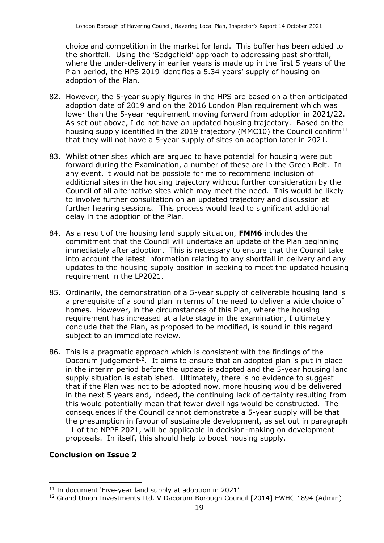choice and competition in the market for land. This buffer has been added to the shortfall. Using the 'Sedgefield' approach to addressing past shortfall, where the under-delivery in earlier years is made up in the first 5 years of the Plan period, the HPS 2019 identifies a 5.34 years' supply of housing on adoption of the Plan.

- 82. However, the 5-year supply figures in the HPS are based on a then anticipated adoption date of 2019 and on the 2016 London Plan requirement which was lower than the 5-year requirement moving forward from adoption in 2021/22. As set out above, I do not have an updated housing trajectory. Based on the housing supply identified in the 2019 trajectory (MMC10) the Council confirm<sup>11</sup> that they will not have a 5-year supply of sites on adoption later in 2021.
- 83. Whilst other sites which are argued to have potential for housing were put forward during the Examination, a number of these are in the Green Belt. In any event, it would not be possible for me to recommend inclusion of additional sites in the housing trajectory without further consideration by the Council of all alternative sites which may meet the need. This would be likely to involve further consultation on an updated trajectory and discussion at further hearing sessions. This process would lead to significant additional delay in the adoption of the Plan.
- 84. As a result of the housing land supply situation, **FMM6** includes the commitment that the Council will undertake an update of the Plan beginning immediately after adoption. This is necessary to ensure that the Council take into account the latest information relating to any shortfall in delivery and any updates to the housing supply position in seeking to meet the updated housing requirement in the LP2021.
- 85. Ordinarily, the demonstration of a 5-year supply of deliverable housing land is a prerequisite of a sound plan in terms of the need to deliver a wide choice of homes. However, in the circumstances of this Plan, where the housing requirement has increased at a late stage in the examination, I ultimately conclude that the Plan, as proposed to be modified, is sound in this regard subject to an immediate review.
- 86. This is a pragmatic approach which is consistent with the findings of the Dacorum judgement<sup>12</sup>. It aims to ensure that an adopted plan is put in place in the interim period before the update is adopted and the 5-year housing land supply situation is established. Ultimately, there is no evidence to suggest that if the Plan was not to be adopted now, more housing would be delivered in the next 5 years and, indeed, the continuing lack of certainty resulting from this would potentially mean that fewer dwellings would be constructed. The consequences if the Council cannot demonstrate a 5-year supply will be that the presumption in favour of sustainable development, as set out in paragraph 11 of the NPPF 2021, will be applicable in decision-making on development proposals. In itself, this should help to boost housing supply.

#### **Conclusion on Issue 2**

j

<sup>&</sup>lt;sup>11</sup> In document 'Five-year land supply at adoption in 2021'

<sup>&</sup>lt;sup>12</sup> Grand Union Investments Ltd. V Dacorum Borough Council [2014] EWHC 1894 (Admin)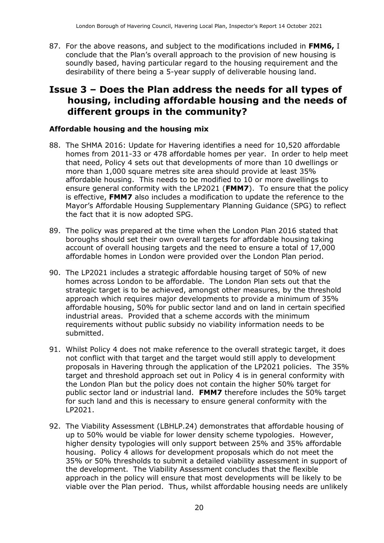87. For the above reasons, and subject to the modifications included in **FMM6,** I conclude that the Plan's overall approach to the provision of new housing is soundly based, having particular regard to the housing requirement and the desirability of there being a 5-year supply of deliverable housing land.

### **Issue 3 – Does the Plan address the needs for all types of housing, including affordable housing and the needs of different groups in the community?**

#### **Affordable housing and the housing mix**

- 88. The SHMA 2016: Update for Havering identifies a need for 10,520 affordable homes from 2011-33 or 478 affordable homes per year. In order to help meet that need, Policy 4 sets out that developments of more than 10 dwellings or more than 1,000 square metres site area should provide at least 35% affordable housing. This needs to be modified to 10 or more dwellings to ensure general conformity with the LP2021 (**FMM7**). To ensure that the policy is effective, **FMM7** also includes a modification to update the reference to the Mayor's Affordable Housing Supplementary Planning Guidance (SPG) to reflect the fact that it is now adopted SPG.
- 89. The policy was prepared at the time when the London Plan 2016 stated that boroughs should set their own overall targets for affordable housing taking account of overall housing targets and the need to ensure a total of 17,000 affordable homes in London were provided over the London Plan period.
- 90. The LP2021 includes a strategic affordable housing target of 50% of new homes across London to be affordable. The London Plan sets out that the strategic target is to be achieved, amongst other measures, by the threshold approach which requires major developments to provide a minimum of 35% affordable housing, 50% for public sector land and on land in certain specified industrial areas. Provided that a scheme accords with the minimum requirements without public subsidy no viability information needs to be submitted.
- 91. Whilst Policy 4 does not make reference to the overall strategic target, it does not conflict with that target and the target would still apply to development proposals in Havering through the application of the LP2021 policies. The 35% target and threshold approach set out in Policy 4 is in general conformity with the London Plan but the policy does not contain the higher 50% target for public sector land or industrial land. **FMM7** therefore includes the 50% target for such land and this is necessary to ensure general conformity with the LP2021.
- 92. The Viability Assessment (LBHLP.24) demonstrates that affordable housing of up to 50% would be viable for lower density scheme typologies. However, higher density typologies will only support between 25% and 35% affordable housing. Policy 4 allows for development proposals which do not meet the 35% or 50% thresholds to submit a detailed viability assessment in support of the development. The Viability Assessment concludes that the flexible approach in the policy will ensure that most developments will be likely to be viable over the Plan period. Thus, whilst affordable housing needs are unlikely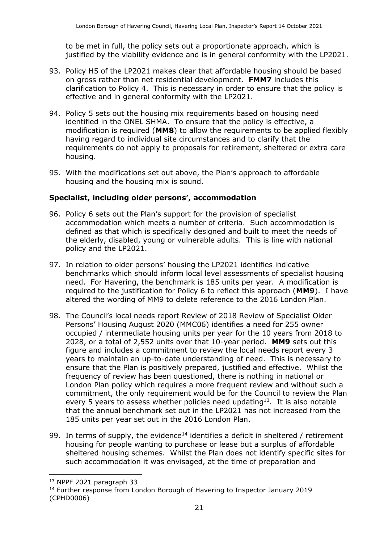to be met in full, the policy sets out a proportionate approach, which is justified by the viability evidence and is in general conformity with the LP2021.

- 93. Policy H5 of the LP2021 makes clear that affordable housing should be based on gross rather than net residential development. **FMM7** includes this clarification to Policy 4. This is necessary in order to ensure that the policy is effective and in general conformity with the LP2021.
- 94. Policy 5 sets out the housing mix requirements based on housing need identified in the ONEL SHMA. To ensure that the policy is effective, a modification is required (**MM8**) to allow the requirements to be applied flexibly having regard to individual site circumstances and to clarify that the requirements do not apply to proposals for retirement, sheltered or extra care housing.
- 95. With the modifications set out above, the Plan's approach to affordable housing and the housing mix is sound.

#### **Specialist, including older persons', accommodation**

- 96. Policy 6 sets out the Plan's support for the provision of specialist accommodation which meets a number of criteria. Such accommodation is defined as that which is specifically designed and built to meet the needs of the elderly, disabled, young or vulnerable adults. This is line with national policy and the LP2021.
- 97. In relation to older persons' housing the LP2021 identifies indicative benchmarks which should inform local level assessments of specialist housing need. For Havering, the benchmark is 185 units per year. A modification is required to the justification for Policy 6 to reflect this approach (**MM9**). I have altered the wording of MM9 to delete reference to the 2016 London Plan.
- 98. The Council's local needs report Review of 2018 Review of Specialist Older Persons' Housing August 2020 (MMC06) identifies a need for 255 owner occupied / intermediate housing units per year for the 10 years from 2018 to 2028, or a total of 2,552 units over that 10-year period. **MM9** sets out this figure and includes a commitment to review the local needs report every 3 years to maintain an up-to-date understanding of need. This is necessary to ensure that the Plan is positively prepared, justified and effective. Whilst the frequency of review has been questioned, there is nothing in national or London Plan policy which requires a more frequent review and without such a commitment, the only requirement would be for the Council to review the Plan every 5 years to assess whether policies need updating<sup>13</sup>. It is also notable that the annual benchmark set out in the LP2021 has not increased from the 185 units per year set out in the 2016 London Plan.
- 99. In terms of supply, the evidence<sup>14</sup> identifies a deficit in sheltered / retirement housing for people wanting to purchase or lease but a surplus of affordable sheltered housing schemes. Whilst the Plan does not identify specific sites for such accommodation it was envisaged, at the time of preparation and

 $\overline{a}$ 

<sup>13</sup> NPPF 2021 paragraph 33

<sup>&</sup>lt;sup>14</sup> Further response from London Borough of Havering to Inspector January 2019 (CPHD0006)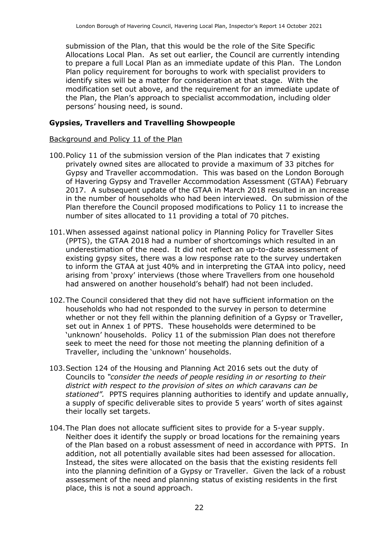submission of the Plan, that this would be the role of the Site Specific Allocations Local Plan. As set out earlier, the Council are currently intending to prepare a full Local Plan as an immediate update of this Plan. The London Plan policy requirement for boroughs to work with specialist providers to identify sites will be a matter for consideration at that stage. With the modification set out above, and the requirement for an immediate update of the Plan, the Plan's approach to specialist accommodation, including older persons' housing need, is sound.

#### **Gypsies, Travellers and Travelling Showpeople**

#### Background and Policy 11 of the Plan

- 100.Policy 11 of the submission version of the Plan indicates that 7 existing privately owned sites are allocated to provide a maximum of 33 pitches for Gypsy and Traveller accommodation. This was based on the London Borough of Havering Gypsy and Traveller Accommodation Assessment (GTAA) February 2017. A subsequent update of the GTAA in March 2018 resulted in an increase in the number of households who had been interviewed. On submission of the Plan therefore the Council proposed modifications to Policy 11 to increase the number of sites allocated to 11 providing a total of 70 pitches.
- 101.When assessed against national policy in Planning Policy for Traveller Sites (PPTS), the GTAA 2018 had a number of shortcomings which resulted in an underestimation of the need. It did not reflect an up-to-date assessment of existing gypsy sites, there was a low response rate to the survey undertaken to inform the GTAA at just 40% and in interpreting the GTAA into policy, need arising from 'proxy' interviews (those where Travellers from one household had answered on another household's behalf) had not been included.
- 102.The Council considered that they did not have sufficient information on the households who had not responded to the survey in person to determine whether or not they fell within the planning definition of a Gypsy or Traveller, set out in Annex 1 of PPTS. These households were determined to be 'unknown' households. Policy 11 of the submission Plan does not therefore seek to meet the need for those not meeting the planning definition of a Traveller, including the 'unknown' households.
- 103.Section 124 of the Housing and Planning Act 2016 sets out the duty of Councils to *"consider the needs of people residing in or resorting to their district with respect to the provision of sites on which caravans can be stationed".* PPTS requires planning authorities to identify and update annually, a supply of specific deliverable sites to provide 5 years' worth of sites against their locally set targets.
- 104.The Plan does not allocate sufficient sites to provide for a 5-year supply. Neither does it identify the supply or broad locations for the remaining years of the Plan based on a robust assessment of need in accordance with PPTS. In addition, not all potentially available sites had been assessed for allocation. Instead, the sites were allocated on the basis that the existing residents fell into the planning definition of a Gypsy or Traveller. Given the lack of a robust assessment of the need and planning status of existing residents in the first place, this is not a sound approach.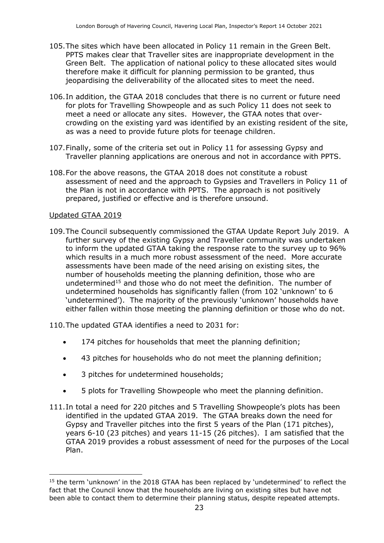- 105.The sites which have been allocated in Policy 11 remain in the Green Belt. PPTS makes clear that Traveller sites are inappropriate development in the Green Belt. The application of national policy to these allocated sites would therefore make it difficult for planning permission to be granted, thus jeopardising the deliverability of the allocated sites to meet the need.
- 106.In addition, the GTAA 2018 concludes that there is no current or future need for plots for Travelling Showpeople and as such Policy 11 does not seek to meet a need or allocate any sites. However, the GTAA notes that overcrowding on the existing yard was identified by an existing resident of the site, as was a need to provide future plots for teenage children.
- 107.Finally, some of the criteria set out in Policy 11 for assessing Gypsy and Traveller planning applications are onerous and not in accordance with PPTS.
- 108.For the above reasons, the GTAA 2018 does not constitute a robust assessment of need and the approach to Gypsies and Travellers in Policy 11 of the Plan is not in accordance with PPTS. The approach is not positively prepared, justified or effective and is therefore unsound.

#### Updated GTAA 2019

 $\overline{a}$ 

109.The Council subsequently commissioned the GTAA Update Report July 2019. A further survey of the existing Gypsy and Traveller community was undertaken to inform the updated GTAA taking the response rate to the survey up to 96% which results in a much more robust assessment of the need. More accurate assessments have been made of the need arising on existing sites, the number of households meeting the planning definition, those who are undetermined<sup>15</sup> and those who do not meet the definition. The number of undetermined households has significantly fallen (from 102 'unknown' to 6 'undetermined'). The majority of the previously 'unknown' households have either fallen within those meeting the planning definition or those who do not.

110.The updated GTAA identifies a need to 2031 for:

- 174 pitches for households that meet the planning definition;
- 43 pitches for households who do not meet the planning definition;
- 3 pitches for undetermined households;
- 5 plots for Travelling Showpeople who meet the planning definition.
- 111.In total a need for 220 pitches and 5 Travelling Showpeople's plots has been identified in the updated GTAA 2019. The GTAA breaks down the need for Gypsy and Traveller pitches into the first 5 years of the Plan (171 pitches), years 6-10 (23 pitches) and years 11-15 (26 pitches). I am satisfied that the GTAA 2019 provides a robust assessment of need for the purposes of the Local Plan.

<sup>&</sup>lt;sup>15</sup> the term 'unknown' in the 2018 GTAA has been replaced by 'undetermined' to reflect the fact that the Council know that the households are living on existing sites but have not been able to contact them to determine their planning status, despite repeated attempts.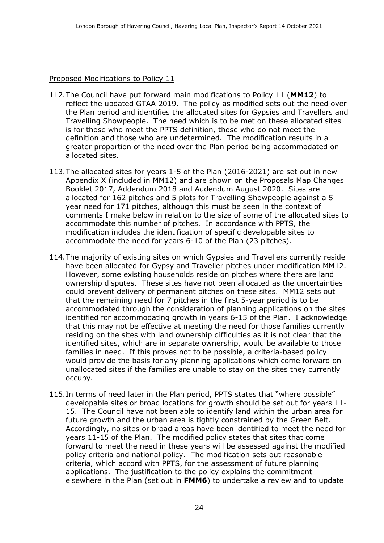#### Proposed Modifications to Policy 11

- 112.The Council have put forward main modifications to Policy 11 (**MM12**) to reflect the updated GTAA 2019. The policy as modified sets out the need over the Plan period and identifies the allocated sites for Gypsies and Travellers and Travelling Showpeople. The need which is to be met on these allocated sites is for those who meet the PPTS definition, those who do not meet the definition and those who are undetermined. The modification results in a greater proportion of the need over the Plan period being accommodated on allocated sites.
- 113.The allocated sites for years 1-5 of the Plan (2016-2021) are set out in new Appendix X (included in MM12) and are shown on the Proposals Map Changes Booklet 2017, Addendum 2018 and Addendum August 2020. Sites are allocated for 162 pitches and 5 plots for Travelling Showpeople against a 5 year need for 171 pitches, although this must be seen in the context of comments I make below in relation to the size of some of the allocated sites to accommodate this number of pitches. In accordance with PPTS, the modification includes the identification of specific developable sites to accommodate the need for years 6-10 of the Plan (23 pitches).
- 114.The majority of existing sites on which Gypsies and Travellers currently reside have been allocated for Gypsy and Traveller pitches under modification MM12. However, some existing households reside on pitches where there are land ownership disputes. These sites have not been allocated as the uncertainties could prevent delivery of permanent pitches on these sites. MM12 sets out that the remaining need for 7 pitches in the first 5-year period is to be accommodated through the consideration of planning applications on the sites identified for accommodating growth in years 6-15 of the Plan. I acknowledge that this may not be effective at meeting the need for those families currently residing on the sites with land ownership difficulties as it is not clear that the identified sites, which are in separate ownership, would be available to those families in need. If this proves not to be possible, a criteria-based policy would provide the basis for any planning applications which come forward on unallocated sites if the families are unable to stay on the sites they currently occupy.
- 115.In terms of need later in the Plan period, PPTS states that "where possible" developable sites or broad locations for growth should be set out for years 11- 15. The Council have not been able to identify land within the urban area for future growth and the urban area is tightly constrained by the Green Belt. Accordingly, no sites or broad areas have been identified to meet the need for years 11-15 of the Plan. The modified policy states that sites that come forward to meet the need in these years will be assessed against the modified policy criteria and national policy. The modification sets out reasonable criteria, which accord with PPTS, for the assessment of future planning applications. The justification to the policy explains the commitment elsewhere in the Plan (set out in **FMM6**) to undertake a review and to update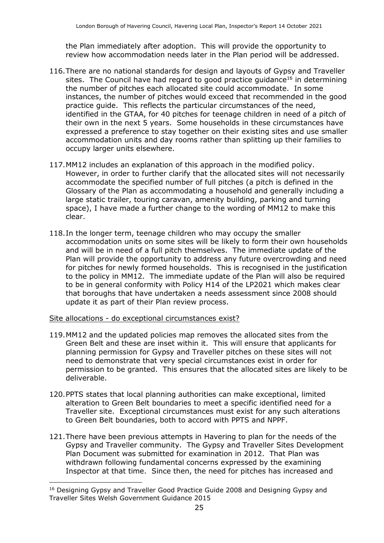the Plan immediately after adoption. This will provide the opportunity to review how accommodation needs later in the Plan period will be addressed.

- 116.There are no national standards for design and layouts of Gypsy and Traveller sites. The Council have had regard to good practice guidance<sup>16</sup> in determining the number of pitches each allocated site could accommodate. In some instances, the number of pitches would exceed that recommended in the good practice guide. This reflects the particular circumstances of the need, identified in the GTAA, for 40 pitches for teenage children in need of a pitch of their own in the next 5 years. Some households in these circumstances have expressed a preference to stay together on their existing sites and use smaller accommodation units and day rooms rather than splitting up their families to occupy larger units elsewhere.
- 117.MM12 includes an explanation of this approach in the modified policy. However, in order to further clarify that the allocated sites will not necessarily accommodate the specified number of full pitches (a pitch is defined in the Glossary of the Plan as accommodating a household and generally including a large static trailer, touring caravan, amenity building, parking and turning space), I have made a further change to the wording of MM12 to make this clear.
- 118.In the longer term, teenage children who may occupy the smaller accommodation units on some sites will be likely to form their own households and will be in need of a full pitch themselves. The immediate update of the Plan will provide the opportunity to address any future overcrowding and need for pitches for newly formed households. This is recognised in the justification to the policy in MM12. The immediate update of the Plan will also be required to be in general conformity with Policy H14 of the LP2021 which makes clear that boroughs that have undertaken a needs assessment since 2008 should update it as part of their Plan review process.
- Site allocations do exceptional circumstances exist?

j

- 119.MM12 and the updated policies map removes the allocated sites from the Green Belt and these are inset within it. This will ensure that applicants for planning permission for Gypsy and Traveller pitches on these sites will not need to demonstrate that very special circumstances exist in order for permission to be granted. This ensures that the allocated sites are likely to be deliverable.
- 120.PPTS states that local planning authorities can make exceptional, limited alteration to Green Belt boundaries to meet a specific identified need for a Traveller site. Exceptional circumstances must exist for any such alterations to Green Belt boundaries, both to accord with PPTS and NPPF.
- 121.There have been previous attempts in Havering to plan for the needs of the Gypsy and Traveller community. The Gypsy and Traveller Sites Development Plan Document was submitted for examination in 2012. That Plan was withdrawn following fundamental concerns expressed by the examining Inspector at that time. Since then, the need for pitches has increased and

<sup>&</sup>lt;sup>16</sup> Designing Gypsy and Traveller Good Practice Guide 2008 and Designing Gypsy and Traveller Sites Welsh Government Guidance 2015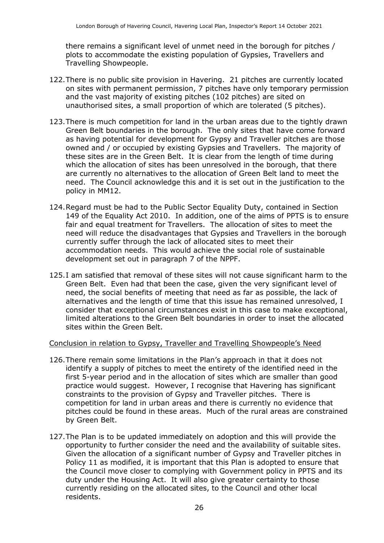there remains a significant level of unmet need in the borough for pitches / plots to accommodate the existing population of Gypsies, Travellers and Travelling Showpeople.

- 122.There is no public site provision in Havering. 21 pitches are currently located on sites with permanent permission, 7 pitches have only temporary permission and the vast majority of existing pitches (102 pitches) are sited on unauthorised sites, a small proportion of which are tolerated (5 pitches).
- 123.There is much competition for land in the urban areas due to the tightly drawn Green Belt boundaries in the borough. The only sites that have come forward as having potential for development for Gypsy and Traveller pitches are those owned and / or occupied by existing Gypsies and Travellers. The majority of these sites are in the Green Belt. It is clear from the length of time during which the allocation of sites has been unresolved in the borough, that there are currently no alternatives to the allocation of Green Belt land to meet the need. The Council acknowledge this and it is set out in the justification to the policy in MM12.
- 124.Regard must be had to the Public Sector Equality Duty, contained in Section 149 of the Equality Act 2010. In addition, one of the aims of PPTS is to ensure fair and equal treatment for Travellers. The allocation of sites to meet the need will reduce the disadvantages that Gypsies and Travellers in the borough currently suffer through the lack of allocated sites to meet their accommodation needs. This would achieve the social role of sustainable development set out in paragraph 7 of the NPPF.
- 125.I am satisfied that removal of these sites will not cause significant harm to the Green Belt. Even had that been the case, given the very significant level of need, the social benefits of meeting that need as far as possible, the lack of alternatives and the length of time that this issue has remained unresolved, I consider that exceptional circumstances exist in this case to make exceptional, limited alterations to the Green Belt boundaries in order to inset the allocated sites within the Green Belt.

#### Conclusion in relation to Gypsy, Traveller and Travelling Showpeople's Need

- 126.There remain some limitations in the Plan's approach in that it does not identify a supply of pitches to meet the entirety of the identified need in the first 5-year period and in the allocation of sites which are smaller than good practice would suggest. However, I recognise that Havering has significant constraints to the provision of Gypsy and Traveller pitches. There is competition for land in urban areas and there is currently no evidence that pitches could be found in these areas. Much of the rural areas are constrained by Green Belt.
- 127.The Plan is to be updated immediately on adoption and this will provide the opportunity to further consider the need and the availability of suitable sites. Given the allocation of a significant number of Gypsy and Traveller pitches in Policy 11 as modified, it is important that this Plan is adopted to ensure that the Council move closer to complying with Government policy in PPTS and its duty under the Housing Act. It will also give greater certainty to those currently residing on the allocated sites, to the Council and other local residents.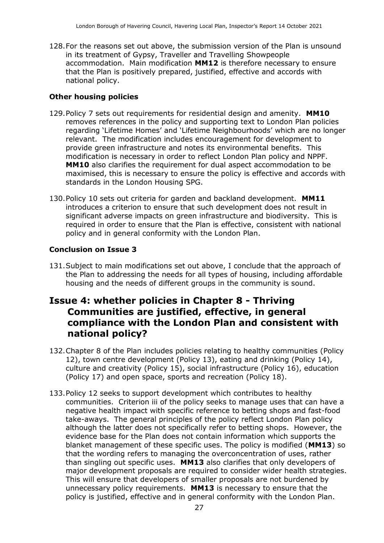128.For the reasons set out above, the submission version of the Plan is unsound in its treatment of Gypsy, Traveller and Travelling Showpeople accommodation. Main modification **MM12** is therefore necessary to ensure that the Plan is positively prepared, justified, effective and accords with national policy.

#### **Other housing policies**

- 129.Policy 7 sets out requirements for residential design and amenity. **MM10** removes references in the policy and supporting text to London Plan policies regarding 'Lifetime Homes' and 'Lifetime Neighbourhoods' which are no longer relevant. The modification includes encouragement for development to provide green infrastructure and notes its environmental benefits. This modification is necessary in order to reflect London Plan policy and NPPF. **MM10** also clarifies the requirement for dual aspect accommodation to be maximised, this is necessary to ensure the policy is effective and accords with standards in the London Housing SPG.
- 130.Policy 10 sets out criteria for garden and backland development. **MM11** introduces a criterion to ensure that such development does not result in significant adverse impacts on green infrastructure and biodiversity. This is required in order to ensure that the Plan is effective, consistent with national policy and in general conformity with the London Plan.

#### **Conclusion on Issue 3**

131.Subject to main modifications set out above, I conclude that the approach of the Plan to addressing the needs for all types of housing, including affordable housing and the needs of different groups in the community is sound.

### **Issue 4: whether policies in Chapter 8 - Thriving Communities are justified, effective, in general compliance with the London Plan and consistent with national policy?**

- 132.Chapter 8 of the Plan includes policies relating to healthy communities (Policy 12), town centre development (Policy 13), eating and drinking (Policy 14), culture and creativity (Policy 15), social infrastructure (Policy 16), education (Policy 17) and open space, sports and recreation (Policy 18).
- 133.Policy 12 seeks to support development which contributes to healthy communities. Criterion iii of the policy seeks to manage uses that can have a negative health impact with specific reference to betting shops and fast-food take-aways. The general principles of the policy reflect London Plan policy although the latter does not specifically refer to betting shops. However, the evidence base for the Plan does not contain information which supports the blanket management of these specific uses. The policy is modified (**MM13**) so that the wording refers to managing the overconcentration of uses, rather than singling out specific uses. **MM13** also clarifies that only developers of major development proposals are required to consider wider health strategies. This will ensure that developers of smaller proposals are not burdened by unnecessary policy requirements. **MM13** is necessary to ensure that the policy is justified, effective and in general conformity with the London Plan.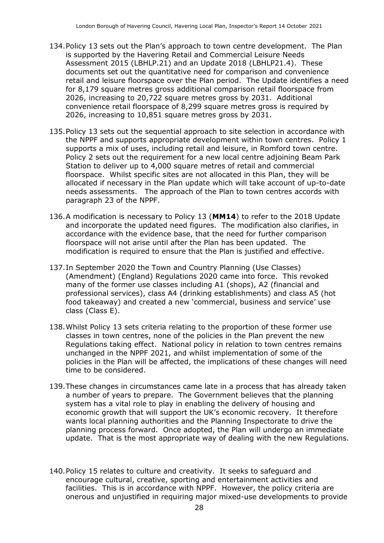- 134.Policy 13 sets out the Plan's approach to town centre development. The Plan is supported by the Havering Retail and Commercial Leisure Needs Assessment 2015 (LBHLP.21) and an Update 2018 (LBHLP21.4). These documents set out the quantitative need for comparison and convenience retail and leisure floorspace over the Plan period. The Update identifies a need for 8,179 square metres gross additional comparison retail floorspace from 2026, increasing to 20,722 square metres gross by 2031. Additional convenience retail floorspace of 8,299 square metres gross is required by 2026, increasing to 10,851 square metres gross by 2031.
- 135.Policy 13 sets out the sequential approach to site selection in accordance with the NPPF and supports appropriate development within town centres. Policy 1 supports a mix of uses, including retail and leisure, in Romford town centre. Policy 2 sets out the requirement for a new local centre adjoining Beam Park Station to deliver up to 4,000 square metres of retail and commercial floorspace. Whilst specific sites are not allocated in this Plan, they will be allocated if necessary in the Plan update which will take account of up-to-date needs assessments. The approach of the Plan to town centres accords with paragraph 23 of the NPPF.
- 136.A modification is necessary to Policy 13 (**MM14**) to refer to the 2018 Update and incorporate the updated need figures. The modification also clarifies, in accordance with the evidence base, that the need for further comparison floorspace will not arise until after the Plan has been updated. The modification is required to ensure that the Plan is justified and effective.
- 137.In September 2020 the Town and Country Planning (Use Classes) (Amendment) (England) Regulations 2020 came into force. This revoked many of the former use classes including A1 (shops), A2 (financial and professional services), class A4 (drinking establishments) and class A5 (hot food takeaway) and created a new 'commercial, business and service' use class (Class E).
- 138.Whilst Policy 13 sets criteria relating to the proportion of these former use classes in town centres, none of the policies in the Plan prevent the new Regulations taking effect. National policy in relation to town centres remains unchanged in the NPPF 2021, and whilst implementation of some of the policies in the Plan will be affected, the implications of these changes will need time to be considered.
- 139.These changes in circumstances came late in a process that has already taken a number of years to prepare. The Government believes that the planning system has a vital role to play in enabling the delivery of housing and economic growth that will support the UK's economic recovery. It therefore wants local planning authorities and the Planning Inspectorate to drive the planning process forward. Once adopted, the Plan will undergo an immediate update. That is the most appropriate way of dealing with the new Regulations.
- 140.Policy 15 relates to culture and creativity. It seeks to safeguard and encourage cultural, creative, sporting and entertainment activities and facilities. This is in accordance with NPPF. However, the policy criteria are onerous and unjustified in requiring major mixed-use developments to provide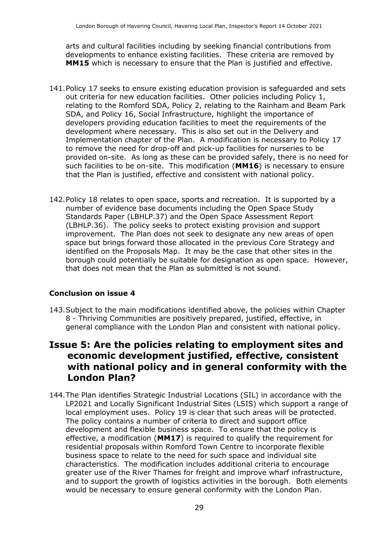arts and cultural facilities including by seeking financial contributions from developments to enhance existing facilities. These criteria are removed by **MM15** which is necessary to ensure that the Plan is justified and effective.

- 141.Policy 17 seeks to ensure existing education provision is safeguarded and sets out criteria for new education facilities. Other policies including Policy 1, relating to the Romford SDA, Policy 2, relating to the Rainham and Beam Park SDA, and Policy 16, Social Infrastructure, highlight the importance of developers providing education facilities to meet the requirements of the development where necessary. This is also set out in the Delivery and Implementation chapter of the Plan. A modification is necessary to Policy 17 to remove the need for drop-off and pick-up facilities for nurseries to be provided on-site. As long as these can be provided safely, there is no need for such facilities to be on-site. This modification (**MM16**) is necessary to ensure that the Plan is justified, effective and consistent with national policy.
- 142.Policy 18 relates to open space, sports and recreation. It is supported by a number of evidence base documents including the Open Space Study Standards Paper (LBHLP.37) and the Open Space Assessment Report (LBHLP.36). The policy seeks to protect existing provision and support improvement. The Plan does not seek to designate any new areas of open space but brings forward those allocated in the previous Core Strategy and identified on the Proposals Map. It may be the case that other sites in the borough could potentially be suitable for designation as open space. However, that does not mean that the Plan as submitted is not sound.

#### **Conclusion on issue 4**

143.Subject to the main modifications identified above, the policies within Chapter 8 - Thriving Communities are positively prepared, justified, effective, in general compliance with the London Plan and consistent with national policy.

### **Issue 5: Are the policies relating to employment sites and economic development justified, effective, consistent with national policy and in general conformity with the London Plan?**

144.The Plan identifies Strategic Industrial Locations (SIL) in accordance with the LP2021 and Locally Significant Industrial Sites (LSIS) which support a range of local employment uses. Policy 19 is clear that such areas will be protected. The policy contains a number of criteria to direct and support office development and flexible business space. To ensure that the policy is effective, a modification (**MM17**) is required to qualify the requirement for residential proposals within Romford Town Centre to incorporate flexible business space to relate to the need for such space and individual site characteristics. The modification includes additional criteria to encourage greater use of the River Thames for freight and improve wharf infrastructure, and to support the growth of logistics activities in the borough. Both elements would be necessary to ensure general conformity with the London Plan.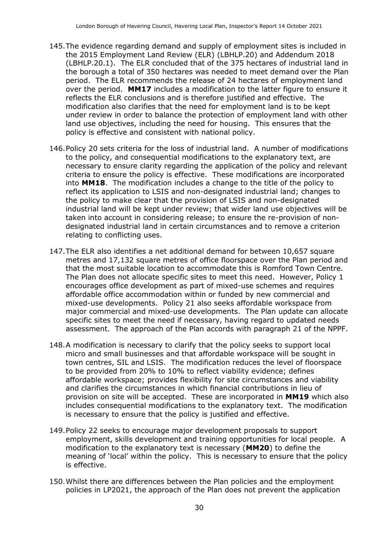- 145.The evidence regarding demand and supply of employment sites is included in the 2015 Employment Land Review (ELR) (LBHLP.20) and Addendum 2018 (LBHLP.20.1). The ELR concluded that of the 375 hectares of industrial land in the borough a total of 350 hectares was needed to meet demand over the Plan period. The ELR recommends the release of 24 hectares of employment land over the period. **MM17** includes a modification to the latter figure to ensure it reflects the ELR conclusions and is therefore justified and effective. The modification also clarifies that the need for employment land is to be kept under review in order to balance the protection of employment land with other land use objectives, including the need for housing. This ensures that the policy is effective and consistent with national policy.
- 146.Policy 20 sets criteria for the loss of industrial land. A number of modifications to the policy, and consequential modifications to the explanatory text, are necessary to ensure clarity regarding the application of the policy and relevant criteria to ensure the policy is effective. These modifications are incorporated into **MM18**. The modification includes a change to the title of the policy to reflect its application to LSIS and non-designated industrial land; changes to the policy to make clear that the provision of LSIS and non-designated industrial land will be kept under review; that wider land use objectives will be taken into account in considering release; to ensure the re-provision of nondesignated industrial land in certain circumstances and to remove a criterion relating to conflicting uses.
- 147. The ELR also identifies a net additional demand for between 10.657 square metres and 17,132 square metres of office floorspace over the Plan period and that the most suitable location to accommodate this is Romford Town Centre. The Plan does not allocate specific sites to meet this need. However, Policy 1 encourages office development as part of mixed-use schemes and requires affordable office accommodation within or funded by new commercial and mixed-use developments. Policy 21 also seeks affordable workspace from major commercial and mixed-use developments. The Plan update can allocate specific sites to meet the need if necessary, having regard to updated needs assessment. The approach of the Plan accords with paragraph 21 of the NPPF.
- 148.A modification is necessary to clarify that the policy seeks to support local micro and small businesses and that affordable workspace will be sought in town centres, SIL and LSIS. The modification reduces the level of floorspace to be provided from 20% to 10% to reflect viability evidence; defines affordable workspace; provides flexibility for site circumstances and viability and clarifies the circumstances in which financial contributions in lieu of provision on site will be accepted. These are incorporated in **MM19** which also includes consequential modifications to the explanatory text. The modification is necessary to ensure that the policy is justified and effective.
- 149.Policy 22 seeks to encourage major development proposals to support employment, skills development and training opportunities for local people. A modification to the explanatory text is necessary (**MM20**) to define the meaning of 'local' within the policy. This is necessary to ensure that the policy is effective.
- 150.Whilst there are differences between the Plan policies and the employment policies in LP2021, the approach of the Plan does not prevent the application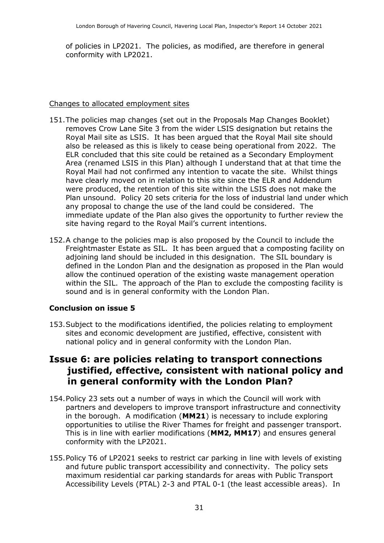of policies in LP2021. The policies, as modified, are therefore in general conformity with LP2021.

#### Changes to allocated employment sites

- 151.The policies map changes (set out in the Proposals Map Changes Booklet) removes Crow Lane Site 3 from the wider LSIS designation but retains the Royal Mail site as LSIS. It has been argued that the Royal Mail site should also be released as this is likely to cease being operational from 2022. The ELR concluded that this site could be retained as a Secondary Employment Area (renamed LSIS in this Plan) although I understand that at that time the Royal Mail had not confirmed any intention to vacate the site. Whilst things have clearly moved on in relation to this site since the ELR and Addendum were produced, the retention of this site within the LSIS does not make the Plan unsound. Policy 20 sets criteria for the loss of industrial land under which any proposal to change the use of the land could be considered. The immediate update of the Plan also gives the opportunity to further review the site having regard to the Royal Mail's current intentions.
- 152.A change to the policies map is also proposed by the Council to include the Freightmaster Estate as SIL. It has been argued that a composting facility on adjoining land should be included in this designation. The SIL boundary is defined in the London Plan and the designation as proposed in the Plan would allow the continued operation of the existing waste management operation within the SIL. The approach of the Plan to exclude the composting facility is sound and is in general conformity with the London Plan.

#### **Conclusion on issue 5**

153.Subject to the modifications identified, the policies relating to employment sites and economic development are justified, effective, consistent with national policy and in general conformity with the London Plan.

### **Issue 6: are policies relating to transport connections justified, effective, consistent with national policy and in general conformity with the London Plan?**

- 154.Policy 23 sets out a number of ways in which the Council will work with partners and developers to improve transport infrastructure and connectivity in the borough. A modification (**MM21**) is necessary to include exploring opportunities to utilise the River Thames for freight and passenger transport. This is in line with earlier modifications (**MM2, MM17**) and ensures general conformity with the LP2021.
- 155.Policy T6 of LP2021 seeks to restrict car parking in line with levels of existing and future public transport accessibility and connectivity. The policy sets maximum residential car parking standards for areas with Public Transport Accessibility Levels (PTAL) 2-3 and PTAL 0-1 (the least accessible areas). In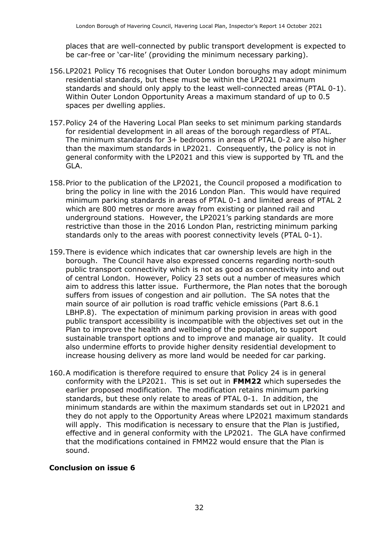places that are well-connected by public transport development is expected to be car-free or 'car-lite' (providing the minimum necessary parking).

- 156.LP2021 Policy T6 recognises that Outer London boroughs may adopt minimum residential standards, but these must be within the LP2021 maximum standards and should only apply to the least well-connected areas (PTAL 0-1). Within Outer London Opportunity Areas a maximum standard of up to 0.5 spaces per dwelling applies.
- 157.Policy 24 of the Havering Local Plan seeks to set minimum parking standards for residential development in all areas of the borough regardless of PTAL. The minimum standards for 3+ bedrooms in areas of PTAL 0-2 are also higher than the maximum standards in LP2021. Consequently, the policy is not in general conformity with the LP2021 and this view is supported by TfL and the GLA.
- 158.Prior to the publication of the LP2021, the Council proposed a modification to bring the policy in line with the 2016 London Plan. This would have required minimum parking standards in areas of PTAL 0-1 and limited areas of PTAL 2 which are 800 metres or more away from existing or planned rail and underground stations. However, the LP2021's parking standards are more restrictive than those in the 2016 London Plan, restricting minimum parking standards only to the areas with poorest connectivity levels (PTAL 0-1).
- 159.There is evidence which indicates that car ownership levels are high in the borough. The Council have also expressed concerns regarding north-south public transport connectivity which is not as good as connectivity into and out of central London. However, Policy 23 sets out a number of measures which aim to address this latter issue. Furthermore, the Plan notes that the borough suffers from issues of congestion and air pollution. The SA notes that the main source of air pollution is road traffic vehicle emissions (Part 8.6.1 LBHP.8). The expectation of minimum parking provision in areas with good public transport accessibility is incompatible with the objectives set out in the Plan to improve the health and wellbeing of the population, to support sustainable transport options and to improve and manage air quality. It could also undermine efforts to provide higher density residential development to increase housing delivery as more land would be needed for car parking.
- 160.A modification is therefore required to ensure that Policy 24 is in general conformity with the LP2021. This is set out in **FMM22** which supersedes the earlier proposed modification. The modification retains minimum parking standards, but these only relate to areas of PTAL 0-1. In addition, the minimum standards are within the maximum standards set out in LP2021 and they do not apply to the Opportunity Areas where LP2021 maximum standards will apply. This modification is necessary to ensure that the Plan is justified, effective and in general conformity with the LP2021. The GLA have confirmed that the modifications contained in FMM22 would ensure that the Plan is sound.

#### **Conclusion on issue 6**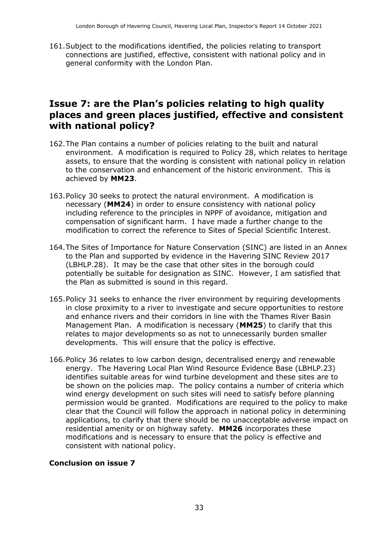161.Subject to the modifications identified, the policies relating to transport connections are justified, effective, consistent with national policy and in general conformity with the London Plan.

### **Issue 7: are the Plan's policies relating to high quality places and green places justified, effective and consistent with national policy?**

- 162.The Plan contains a number of policies relating to the built and natural environment. A modification is required to Policy 28, which relates to heritage assets, to ensure that the wording is consistent with national policy in relation to the conservation and enhancement of the historic environment. This is achieved by **MM23**.
- 163.Policy 30 seeks to protect the natural environment. A modification is necessary (**MM24**) in order to ensure consistency with national policy including reference to the principles in NPPF of avoidance, mitigation and compensation of significant harm. I have made a further change to the modification to correct the reference to Sites of Special Scientific Interest.
- 164.The Sites of Importance for Nature Conservation (SINC) are listed in an Annex to the Plan and supported by evidence in the Havering SINC Review 2017 (LBHLP.28). It may be the case that other sites in the borough could potentially be suitable for designation as SINC. However, I am satisfied that the Plan as submitted is sound in this regard.
- 165.Policy 31 seeks to enhance the river environment by requiring developments in close proximity to a river to investigate and secure opportunities to restore and enhance rivers and their corridors in line with the Thames River Basin Management Plan. A modification is necessary (**MM25**) to clarify that this relates to major developments so as not to unnecessarily burden smaller developments. This will ensure that the policy is effective.
- 166.Policy 36 relates to low carbon design, decentralised energy and renewable energy. The Havering Local Plan Wind Resource Evidence Base (LBHLP.23) identifies suitable areas for wind turbine development and these sites are to be shown on the policies map. The policy contains a number of criteria which wind energy development on such sites will need to satisfy before planning permission would be granted. Modifications are required to the policy to make clear that the Council will follow the approach in national policy in determining applications, to clarify that there should be no unacceptable adverse impact on residential amenity or on highway safety. **MM26** incorporates these modifications and is necessary to ensure that the policy is effective and consistent with national policy.

#### **Conclusion on issue 7**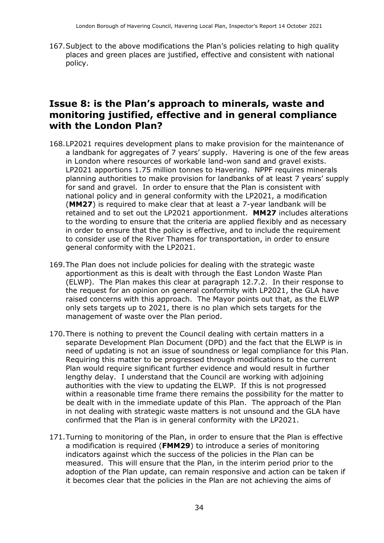167.Subject to the above modifications the Plan's policies relating to high quality places and green places are justified, effective and consistent with national policy.

### **Issue 8: is the Plan's approach to minerals, waste and monitoring justified, effective and in general compliance with the London Plan?**

- 168.LP2021 requires development plans to make provision for the maintenance of a landbank for aggregates of 7 years' supply. Havering is one of the few areas in London where resources of workable land-won sand and gravel exists. LP2021 apportions 1.75 million tonnes to Havering. NPPF requires minerals planning authorities to make provision for landbanks of at least 7 years' supply for sand and gravel. In order to ensure that the Plan is consistent with national policy and in general conformity with the LP2021, a modification (**MM27**) is required to make clear that at least a 7-year landbank will be retained and to set out the LP2021 apportionment. **MM27** includes alterations to the wording to ensure that the criteria are applied flexibly and as necessary in order to ensure that the policy is effective, and to include the requirement to consider use of the River Thames for transportation, in order to ensure general conformity with the LP2021.
- 169.The Plan does not include policies for dealing with the strategic waste apportionment as this is dealt with through the East London Waste Plan (ELWP). The Plan makes this clear at paragraph 12.7.2. In their response to the request for an opinion on general conformity with LP2021, the GLA have raised concerns with this approach. The Mayor points out that, as the ELWP only sets targets up to 2021, there is no plan which sets targets for the management of waste over the Plan period.
- 170.There is nothing to prevent the Council dealing with certain matters in a separate Development Plan Document (DPD) and the fact that the ELWP is in need of updating is not an issue of soundness or legal compliance for this Plan. Requiring this matter to be progressed through modifications to the current Plan would require significant further evidence and would result in further lengthy delay. I understand that the Council are working with adjoining authorities with the view to updating the ELWP. If this is not progressed within a reasonable time frame there remains the possibility for the matter to be dealt with in the immediate update of this Plan. The approach of the Plan in not dealing with strategic waste matters is not unsound and the GLA have confirmed that the Plan is in general conformity with the LP2021.
- 171.Turning to monitoring of the Plan, in order to ensure that the Plan is effective a modification is required (**FMM29**) to introduce a series of monitoring indicators against which the success of the policies in the Plan can be measured. This will ensure that the Plan, in the interim period prior to the adoption of the Plan update, can remain responsive and action can be taken if it becomes clear that the policies in the Plan are not achieving the aims of